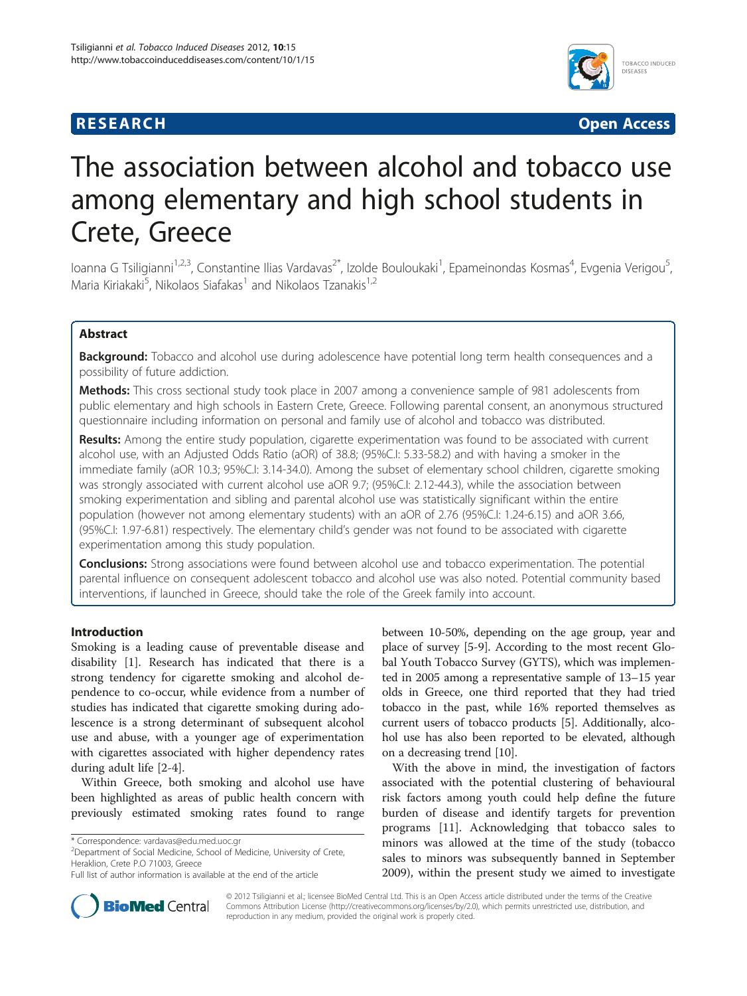# **RESEARCH CHINESEARCH CHINESEARCH CHINESE**



# The association between alcohol and tobacco use among elementary and high school students in Crete, Greece

loanna G Tsiligianni<sup>1,2,3</sup>, Constantine Ilias Vardavas<sup>2\*</sup>, Izolde Bouloukaki<sup>1</sup>, Epameinondas Kosmas<sup>4</sup>, Evgenia Verigou<sup>5</sup> .<br>. Maria Kiriakaki<sup>5</sup>, Nikolaos Siafakas<sup>1</sup> and Nikolaos Tzanakis<sup>1,2</sup>

# Abstract

Background: Tobacco and alcohol use during adolescence have potential long term health consequences and a possibility of future addiction.

Methods: This cross sectional study took place in 2007 among a convenience sample of 981 adolescents from public elementary and high schools in Eastern Crete, Greece. Following parental consent, an anonymous structured questionnaire including information on personal and family use of alcohol and tobacco was distributed.

Results: Among the entire study population, cigarette experimentation was found to be associated with current alcohol use, with an Adjusted Odds Ratio (aOR) of 38.8; (95%C.I: 5.33-58.2) and with having a smoker in the immediate family (aOR 10.3; 95%C.I: 3.14-34.0). Among the subset of elementary school children, cigarette smoking was strongly associated with current alcohol use aOR 9.7; (95%C.I: 2.12-44.3), while the association between smoking experimentation and sibling and parental alcohol use was statistically significant within the entire population (however not among elementary students) with an aOR of 2.76 (95%C.I: 1.24-6.15) and aOR 3.66, (95%C.I: 1.97-6.81) respectively. The elementary child's gender was not found to be associated with cigarette experimentation among this study population.

**Conclusions:** Strong associations were found between alcohol use and tobacco experimentation. The potential parental influence on consequent adolescent tobacco and alcohol use was also noted. Potential community based interventions, if launched in Greece, should take the role of the Greek family into account.

# Introduction

Smoking is a leading cause of preventable disease and disability [\[1](#page-4-0)]. Research has indicated that there is a strong tendency for cigarette smoking and alcohol dependence to co-occur, while evidence from a number of studies has indicated that cigarette smoking during adolescence is a strong determinant of subsequent alcohol use and abuse, with a younger age of experimentation with cigarettes associated with higher dependency rates during adult life [[2-4\]](#page-4-0).

Within Greece, both smoking and alcohol use have been highlighted as areas of public health concern with previously estimated smoking rates found to range

<sup>2</sup>Department of Social Medicine, School of Medicine, University of Crete, Heraklion, Crete P.O 71003, Greece

between 10-50%, depending on the age group, year and place of survey [\[5-9](#page-4-0)]. According to the most recent Global Youth Tobacco Survey (GYTS), which was implemented in 2005 among a representative sample of 13–15 year olds in Greece, one third reported that they had tried tobacco in the past, while 16% reported themselves as current users of tobacco products [\[5](#page-4-0)]. Additionally, alcohol use has also been reported to be elevated, although on a decreasing trend [[10](#page-4-0)].

With the above in mind, the investigation of factors associated with the potential clustering of behavioural risk factors among youth could help define the future burden of disease and identify targets for prevention programs [\[11\]](#page-4-0). Acknowledging that tobacco sales to minors was allowed at the time of the study (tobacco sales to minors was subsequently banned in September 2009), within the present study we aimed to investigate



© 2012 Tsiligianni et al.; licensee BioMed Central Ltd. This is an Open Access article distributed under the terms of the Creative Commons Attribution License [\(http://creativecommons.org/licenses/by/2.0\)](http://creativecommons.org/licenses/by/2.0), which permits unrestricted use, distribution, and reproduction in any medium, provided the original work is properly cited.

<sup>\*</sup> Correspondence: [vardavas@edu.med.uoc.gr](mailto:vardavas@edu.med.uoc.gr) <sup>2</sup>

Full list of author information is available at the end of the article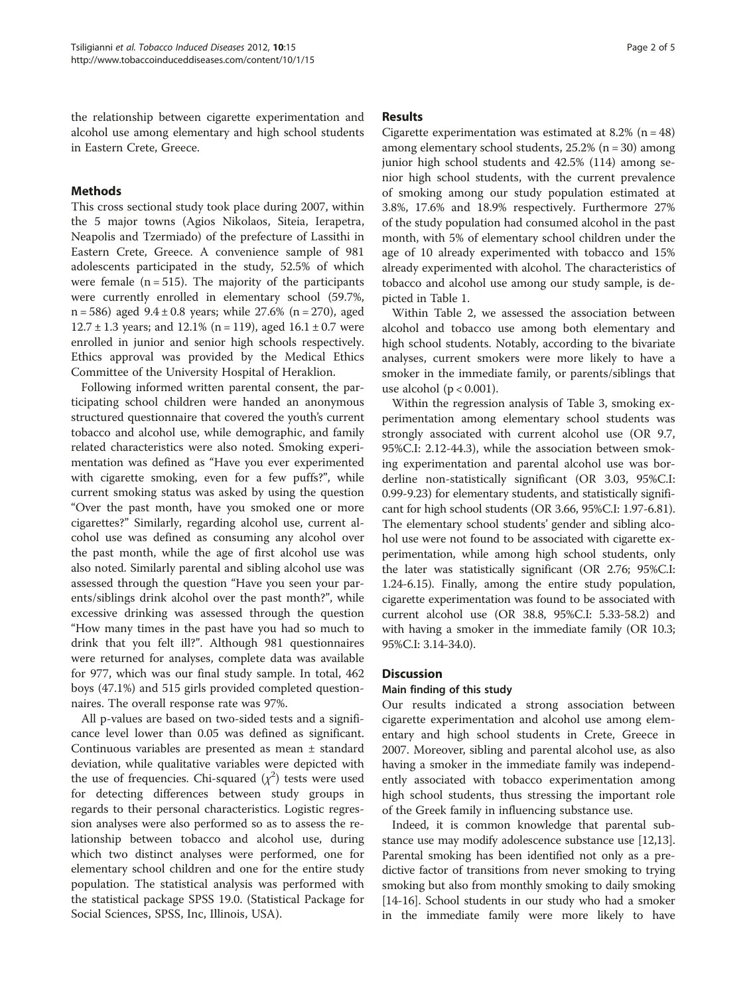the relationship between cigarette experimentation and alcohol use among elementary and high school students in Eastern Crete, Greece.

# Methods

This cross sectional study took place during 2007, within the 5 major towns (Agios Nikolaos, Siteia, Ierapetra, Neapolis and Tzermiado) of the prefecture of Lassithi in Eastern Crete, Greece. A convenience sample of 981 adolescents participated in the study, 52.5% of which were female  $(n = 515)$ . The majority of the participants were currently enrolled in elementary school (59.7%, n = 586) aged 9.4 ± 0.8 years; while 27.6% (n = 270), aged  $12.7 \pm 1.3$  years; and 12.1% (n = 119), aged 16.1  $\pm$  0.7 were enrolled in junior and senior high schools respectively. Ethics approval was provided by the Medical Ethics Committee of the University Hospital of Heraklion.

Following informed written parental consent, the participating school children were handed an anonymous structured questionnaire that covered the youth's current tobacco and alcohol use, while demographic, and family related characteristics were also noted. Smoking experimentation was defined as "Have you ever experimented with cigarette smoking, even for a few puffs?", while current smoking status was asked by using the question "Over the past month, have you smoked one or more cigarettes?" Similarly, regarding alcohol use, current alcohol use was defined as consuming any alcohol over the past month, while the age of first alcohol use was also noted. Similarly parental and sibling alcohol use was assessed through the question "Have you seen your parents/siblings drink alcohol over the past month?", while excessive drinking was assessed through the question "How many times in the past have you had so much to drink that you felt ill?". Although 981 questionnaires were returned for analyses, complete data was available for 977, which was our final study sample. In total, 462 boys (47.1%) and 515 girls provided completed questionnaires. The overall response rate was 97%.

All p-values are based on two-sided tests and a significance level lower than 0.05 was defined as significant. Continuous variables are presented as mean ± standard deviation, while qualitative variables were depicted with the use of frequencies. Chi-squared  $(\chi^2)$  tests were used for detecting differences between study groups in regards to their personal characteristics. Logistic regression analyses were also performed so as to assess the relationship between tobacco and alcohol use, during which two distinct analyses were performed, one for elementary school children and one for the entire study population. The statistical analysis was performed with the statistical package SPSS 19.0. (Statistical Package for Social Sciences, SPSS, Inc, Illinois, USA).

## Results

Cigarette experimentation was estimated at 8.2% ( $n = 48$ ) among elementary school students, 25.2% (n = 30) among junior high school students and 42.5% (114) among senior high school students, with the current prevalence of smoking among our study population estimated at 3.8%, 17.6% and 18.9% respectively. Furthermore 27% of the study population had consumed alcohol in the past month, with 5% of elementary school children under the age of 10 already experimented with tobacco and 15% already experimented with alcohol. The characteristics of tobacco and alcohol use among our study sample, is depicted in Table [1.](#page-2-0)

Within Table [2,](#page-3-0) we assessed the association between alcohol and tobacco use among both elementary and high school students. Notably, according to the bivariate analyses, current smokers were more likely to have a smoker in the immediate family, or parents/siblings that use alcohol ( $p < 0.001$ ).

Within the regression analysis of Table [3](#page-3-0), smoking experimentation among elementary school students was strongly associated with current alcohol use (OR 9.7, 95%C.I: 2.12-44.3), while the association between smoking experimentation and parental alcohol use was borderline non-statistically significant (OR 3.03, 95%C.I: 0.99-9.23) for elementary students, and statistically significant for high school students (OR 3.66, 95%C.I: 1.97-6.81). The elementary school students' gender and sibling alcohol use were not found to be associated with cigarette experimentation, while among high school students, only the later was statistically significant (OR 2.76; 95%C.I: 1.24-6.15). Finally, among the entire study population, cigarette experimentation was found to be associated with current alcohol use (OR 38.8, 95%C.I: 5.33-58.2) and with having a smoker in the immediate family (OR 10.3; 95%C.I: 3.14-34.0).

# **Discussion**

# Main finding of this study

Our results indicated a strong association between cigarette experimentation and alcohol use among elementary and high school students in Crete, Greece in 2007. Moreover, sibling and parental alcohol use, as also having a smoker in the immediate family was independently associated with tobacco experimentation among high school students, thus stressing the important role of the Greek family in influencing substance use.

Indeed, it is common knowledge that parental substance use may modify adolescence substance use [\[12,13](#page-4-0)]. Parental smoking has been identified not only as a predictive factor of transitions from never smoking to trying smoking but also from monthly smoking to daily smoking [[14](#page-4-0)-[16\]](#page-4-0). School students in our study who had a smoker in the immediate family were more likely to have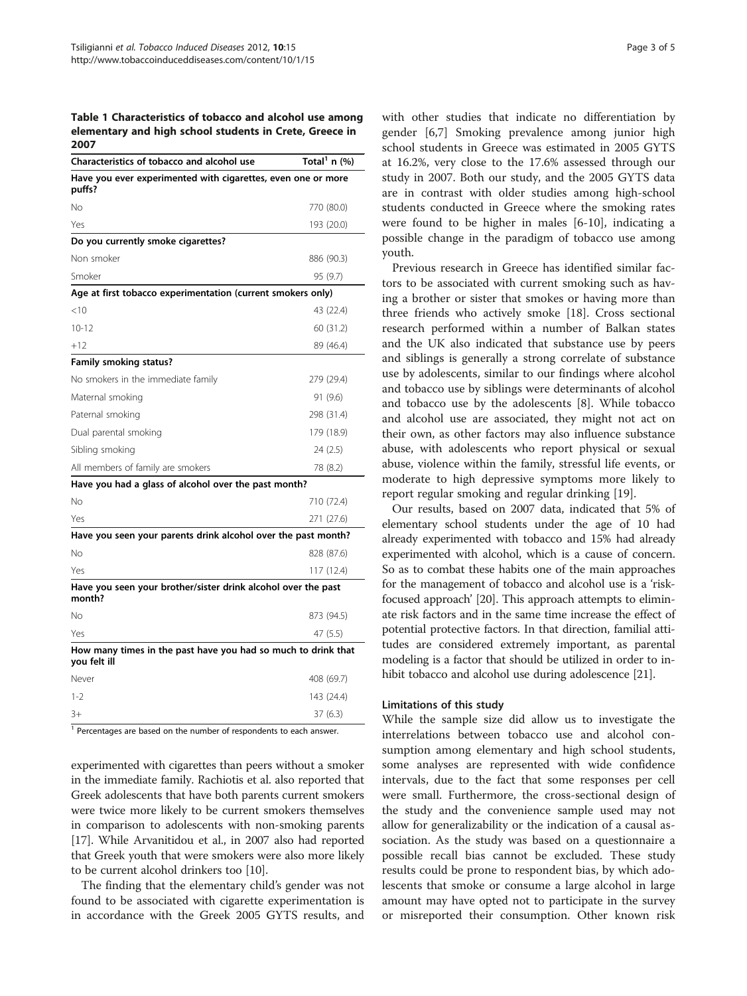<span id="page-2-0"></span>Table 1 Characteristics of tobacco and alcohol use among elementary and high school students in Crete, Greece in 2007

| Characteristics of tobacco and alcohol use                                    | Total <sup>1</sup> n $\left(\% \right)$ |
|-------------------------------------------------------------------------------|-----------------------------------------|
| Have you ever experimented with cigarettes, even one or more<br>puffs?        |                                         |
| Νo                                                                            | 770 (80.0)                              |
| Yes                                                                           | 193 (20.0)                              |
| Do you currently smoke cigarettes?                                            |                                         |
| Non smoker                                                                    | 886 (90.3)                              |
| Smoker                                                                        | 95 (9.7)                                |
| Age at first tobacco experimentation (current smokers only)                   |                                         |
| $<$ 10                                                                        | 43 (22.4)                               |
| $10 - 12$                                                                     | 60 (31.2)                               |
| $+12$                                                                         | 89 (46.4)                               |
| Family smoking status?                                                        |                                         |
| No smokers in the immediate family                                            | 279 (29.4)                              |
| Maternal smoking                                                              | 91 (9.6)                                |
| Paternal smoking                                                              | 298 (31.4)                              |
| Dual parental smoking                                                         | 179 (18.9)                              |
| Sibling smoking                                                               | 24 (2.5)                                |
| All members of family are smokers                                             | 78 (8.2)                                |
| Have you had a glass of alcohol over the past month?                          |                                         |
| No                                                                            | 710 (72.4)                              |
| Yes                                                                           | 271 (27.6)                              |
| Have you seen your parents drink alcohol over the past month?                 |                                         |
| Nο                                                                            | 828 (87.6)                              |
| Yes                                                                           | 117 (12.4)                              |
| Have you seen your brother/sister drink alcohol over the past<br>month?       |                                         |
| No                                                                            | 873 (94.5)                              |
| Yes                                                                           | 47 (5.5)                                |
| How many times in the past have you had so much to drink that<br>you felt ill |                                         |
| Never                                                                         | 408 (69.7)                              |
| $1 - 2$                                                                       | 143 (24.4)                              |
| $3+$                                                                          | 37 (6.3)                                |
| 1 <sub>0</sub>                                                                |                                         |

Percentages are based on the number of respondents to each answer.

experimented with cigarettes than peers without a smoker in the immediate family. Rachiotis et al. also reported that Greek adolescents that have both parents current smokers were twice more likely to be current smokers themselves in comparison to adolescents with non-smoking parents [[17](#page-4-0)]. While Arvanitidou et al., in 2007 also had reported that Greek youth that were smokers were also more likely to be current alcohol drinkers too [\[10\]](#page-4-0).

The finding that the elementary child's gender was not found to be associated with cigarette experimentation is in accordance with the Greek 2005 GYTS results, and

with other studies that indicate no differentiation by gender [\[6,7](#page-4-0)] Smoking prevalence among junior high school students in Greece was estimated in 2005 GYTS at 16.2%, very close to the 17.6% assessed through our study in 2007. Both our study, and the 2005 GYTS data are in contrast with older studies among high-school students conducted in Greece where the smoking rates were found to be higher in males [\[6](#page-4-0)-[10\]](#page-4-0), indicating a possible change in the paradigm of tobacco use among youth.

Previous research in Greece has identified similar factors to be associated with current smoking such as having a brother or sister that smokes or having more than three friends who actively smoke [[18\]](#page-4-0). Cross sectional research performed within a number of Balkan states and the UK also indicated that substance use by peers and siblings is generally a strong correlate of substance use by adolescents, similar to our findings where alcohol and tobacco use by siblings were determinants of alcohol and tobacco use by the adolescents [\[8](#page-4-0)]. While tobacco and alcohol use are associated, they might not act on their own, as other factors may also influence substance abuse, with adolescents who report physical or sexual abuse, violence within the family, stressful life events, or moderate to high depressive symptoms more likely to report regular smoking and regular drinking [\[19](#page-4-0)].

Our results, based on 2007 data, indicated that 5% of elementary school students under the age of 10 had already experimented with tobacco and 15% had already experimented with alcohol, which is a cause of concern. So as to combat these habits one of the main approaches for the management of tobacco and alcohol use is a 'riskfocused approach' [[20](#page-4-0)]. This approach attempts to eliminate risk factors and in the same time increase the effect of potential protective factors. In that direction, familial attitudes are considered extremely important, as parental modeling is a factor that should be utilized in order to inhibit tobacco and alcohol use during adolescence [\[21\]](#page-4-0).

#### Limitations of this study

While the sample size did allow us to investigate the interrelations between tobacco use and alcohol consumption among elementary and high school students, some analyses are represented with wide confidence intervals, due to the fact that some responses per cell were small. Furthermore, the cross-sectional design of the study and the convenience sample used may not allow for generalizability or the indication of a causal association. As the study was based on a questionnaire a possible recall bias cannot be excluded. These study results could be prone to respondent bias, by which adolescents that smoke or consume a large alcohol in large amount may have opted not to participate in the survey or misreported their consumption. Other known risk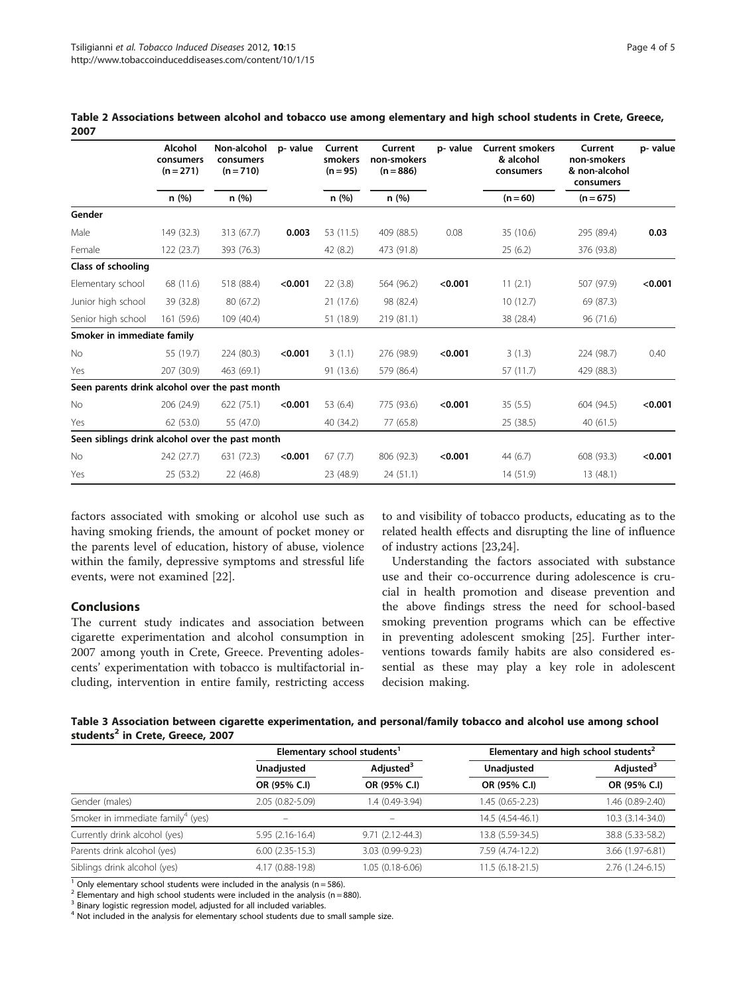|                                                 | Alcohol<br>consumers<br>$(n=271)$<br>$(n = 710)$ | Non-alcohol<br>consumers | p- value | Current<br>smokers<br>$(n = 95)$ | Current<br>non-smokers<br>$(n = 886)$ | p-value | <b>Current smokers</b><br>& alcohol<br>consumers | Current<br>non-smokers<br>& non-alcohol<br>consumers | p-value |       |  |            |             |  |
|-------------------------------------------------|--------------------------------------------------|--------------------------|----------|----------------------------------|---------------------------------------|---------|--------------------------------------------------|------------------------------------------------------|---------|-------|--|------------|-------------|--|
|                                                 | n(%)                                             | n(%)                     |          |                                  |                                       |         |                                                  |                                                      | n (%)   | n (%) |  | $(n = 60)$ | $(n = 675)$ |  |
| Gender                                          |                                                  |                          |          |                                  |                                       |         |                                                  |                                                      |         |       |  |            |             |  |
| Male                                            | 149 (32.3)                                       | 313 (67.7)               | 0.003    | 53 (11.5)                        | 409 (88.5)                            | 0.08    | 35 (10.6)                                        | 295 (89.4)                                           | 0.03    |       |  |            |             |  |
| Female                                          | 122 (23.7)                                       | 393 (76.3)               |          | 42 (8.2)                         | 473 (91.8)                            |         | 25(6.2)                                          | 376 (93.8)                                           |         |       |  |            |             |  |
| Class of schooling                              |                                                  |                          |          |                                  |                                       |         |                                                  |                                                      |         |       |  |            |             |  |
| Elementary school                               | 68 (11.6)                                        | 518 (88.4)               | < 0.001  | 22(3.8)                          | 564 (96.2)                            | < 0.001 | 11(2.1)                                          | 507 (97.9)                                           | < 0.001 |       |  |            |             |  |
| Junior high school                              | 39 (32.8)                                        | 80 (67.2)                |          | 21 (17.6)                        | 98 (82.4)                             |         | 10(12.7)                                         | 69 (87.3)                                            |         |       |  |            |             |  |
| Senior high school                              | 161 (59.6)                                       | 109 (40.4)               |          | 51 (18.9)                        | 219 (81.1)                            |         | 38 (28.4)                                        | 96 (71.6)                                            |         |       |  |            |             |  |
| Smoker in immediate family                      |                                                  |                          |          |                                  |                                       |         |                                                  |                                                      |         |       |  |            |             |  |
| <b>No</b>                                       | 55 (19.7)                                        | 224 (80.3)               | < 0.001  | 3(1.1)                           | 276 (98.9)                            | < 0.001 | 3(1.3)                                           | 224 (98.7)                                           | 0.40    |       |  |            |             |  |
| Yes                                             | 207 (30.9)                                       | 463 (69.1)               |          | 91 (13.6)                        | 579 (86.4)                            |         | 57(11.7)                                         | 429 (88.3)                                           |         |       |  |            |             |  |
| Seen parents drink alcohol over the past month  |                                                  |                          |          |                                  |                                       |         |                                                  |                                                      |         |       |  |            |             |  |
| No                                              | 206 (24.9)                                       | 622(75.1)                | < 0.001  | 53 (6.4)                         | 775 (93.6)                            | < 0.001 | 35(5.5)                                          | 604 (94.5)                                           | < 0.001 |       |  |            |             |  |
| Yes                                             | 62 (53.0)                                        | 55 (47.0)                |          | 40 (34.2)                        | 77 (65.8)                             |         | 25 (38.5)                                        | 40(61.5)                                             |         |       |  |            |             |  |
| Seen siblings drink alcohol over the past month |                                                  |                          |          |                                  |                                       |         |                                                  |                                                      |         |       |  |            |             |  |
| <b>No</b>                                       | 242 (27.7)                                       | 631 (72.3)               | < 0.001  | 67(7.7)                          | 806 (92.3)                            | < 0.001 | 44(6.7)                                          | 608 (93.3)                                           | < 0.001 |       |  |            |             |  |
| Yes                                             | 25 (53.2)                                        | 22 (46.8)                |          | 23 (48.9)                        | 24(51.1)                              |         | 14 (51.9)                                        | 13(48.1)                                             |         |       |  |            |             |  |

<span id="page-3-0"></span>Table 2 Associations between alcohol and tobacco use among elementary and high school students in Crete, Greece, 2007

factors associated with smoking or alcohol use such as having smoking friends, the amount of pocket money or the parents level of education, history of abuse, violence within the family, depressive symptoms and stressful life events, were not examined [\[22](#page-4-0)].

# Conclusions

The current study indicates and association between cigarette experimentation and alcohol consumption in 2007 among youth in Crete, Greece. Preventing adolescents' experimentation with tobacco is multifactorial including, intervention in entire family, restricting access to and visibility of tobacco products, educating as to the related health effects and disrupting the line of influence of industry actions [\[23,24\]](#page-4-0).

Understanding the factors associated with substance use and their co-occurrence during adolescence is crucial in health promotion and disease prevention and the above findings stress the need for school-based smoking prevention programs which can be effective in preventing adolescent smoking [\[25\]](#page-4-0). Further interventions towards family habits are also considered essential as these may play a key role in adolescent decision making.

|                                              | Table 3 Association between cigarette experimentation, and personal/family tobacco and alcohol use among school |  |  |
|----------------------------------------------|-----------------------------------------------------------------------------------------------------------------|--|--|
| students <sup>2</sup> in Crete, Greece, 2007 |                                                                                                                 |  |  |

|                                               | Elementary school students <sup>1</sup> |                       | Elementary and high school students <sup>2</sup> |                       |  |
|-----------------------------------------------|-----------------------------------------|-----------------------|--------------------------------------------------|-----------------------|--|
|                                               | Unadjusted                              | Adjusted <sup>3</sup> | Unadjusted                                       | Adjusted <sup>3</sup> |  |
|                                               | OR (95% C.I)                            | OR (95% C.I)          | OR (95% C.I)                                     | OR (95% C.I)          |  |
| Gender (males)                                | 2.05 (0.82-5.09)                        | 1.4 (0.49-3.94)       | 1.45 (0.65-2.23)                                 | 1.46 (0.89-2.40)      |  |
| Smoker in immediate family <sup>4</sup> (yes) | -                                       |                       | 14.5 (4.54-46.1)                                 | 10.3 (3.14-34.0)      |  |
| Currently drink alcohol (yes)                 | $5.95(2.16-16.4)$                       | $9.71(2.12 - 44.3)$   | 13.8 (5.59-34.5)                                 | 38.8 (5.33-58.2)      |  |
| Parents drink alcohol (yes)                   | $6.00(2.35-15.3)$                       | 3.03 (0.99-9.23)      | 7.59 (4.74-12.2)                                 | 3.66 (1.97-6.81)      |  |
| Siblings drink alcohol (yes)                  | 4.17 (0.88-19.8)                        | 1.05 (0.18-6.06)      | $11.5(6.18-21.5)$                                | 2.76 (1.24-6.15)      |  |

<sup>1</sup> Only elementary school students were included in the analysis (n = 586).

<sup>2</sup> Elementary and high school students were included in the analysis (n = 880).

<sup>3</sup> Binary logistic regression model, adjusted for all included variables.

<sup>4</sup> Not included in the analysis for elementary school students due to small sample size.